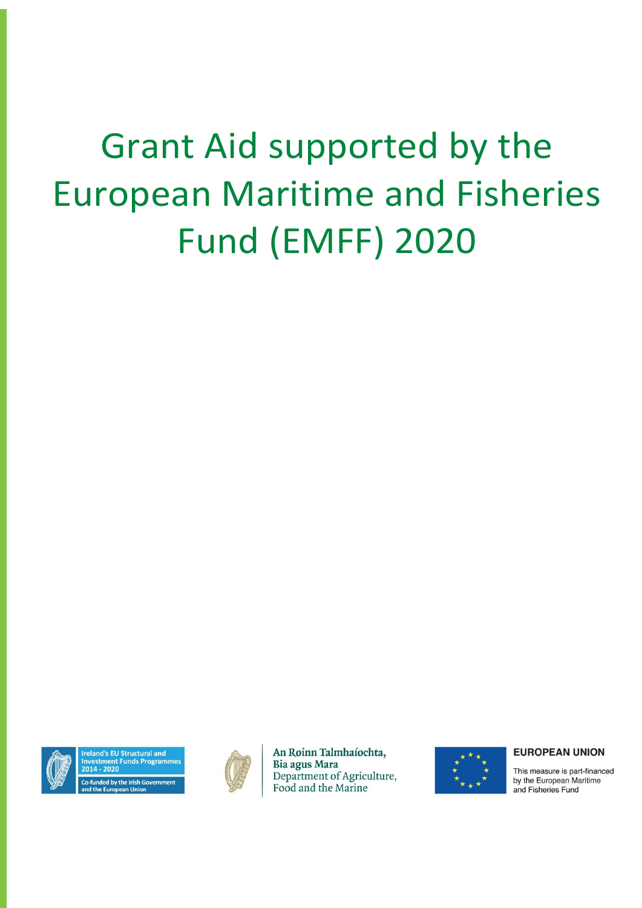# Grant Aid supported by the European Maritime and Fisheries Fund (EMFF) 2020



d's EU Structural and stment Funds Programmes



An Roinn Talmhaíochta, **Bia agus Mara** Department of Agriculture, Food and the Marine



#### **EUROPEAN UNION**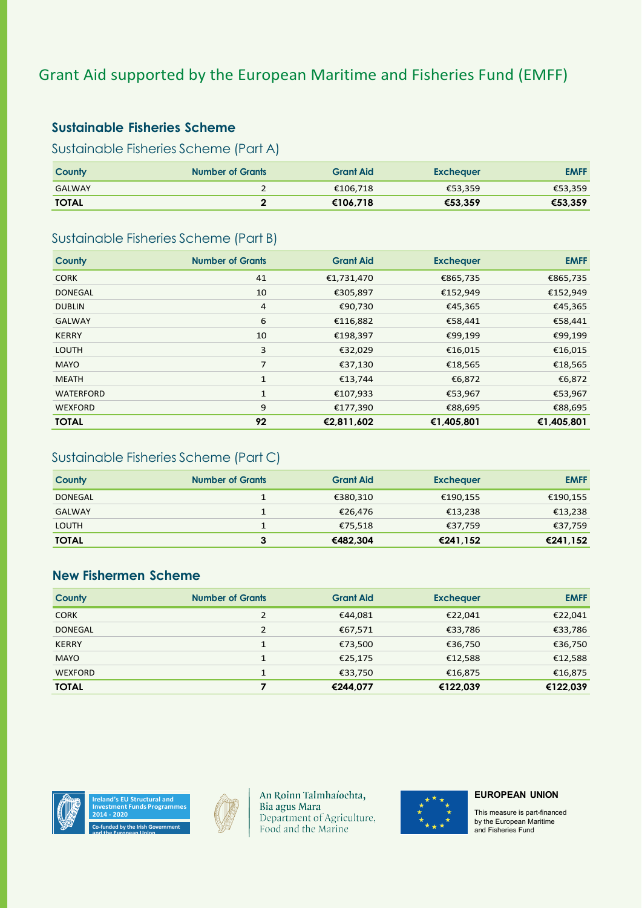# Grant Aid supported by the European Maritime and Fisheries Fund (EMFF)

## **Sustainable Fisheries Scheme**

Sustainable Fisheries Scheme (Part A)

| County        | <b>Number of Grants</b> | <b>Grant Aid</b> | <b>Exchequer</b> | <b>EMFF</b> |
|---------------|-------------------------|------------------|------------------|-------------|
| <b>GALWAY</b> |                         | €106,718         | €53.359          | €53,359     |
| <b>TOTAL</b>  |                         | €106.718         | €53.359          | €53,359     |

### Sustainable Fisheries Scheme (Part B)

| County         | <b>Number of Grants</b> | <b>Grant Aid</b> | <b>Exchequer</b> | <b>EMFF</b> |
|----------------|-------------------------|------------------|------------------|-------------|
| <b>CORK</b>    | 41                      | €1,731,470       | €865,735         | €865,735    |
| <b>DONEGAL</b> | 10                      | €305,897         | €152,949         | €152,949    |
| <b>DUBLIN</b>  | $\overline{4}$          | €90,730          | €45,365          | €45,365     |
| <b>GALWAY</b>  | 6                       | €116,882         | €58,441          | €58,441     |
| <b>KERRY</b>   | 10                      | €198,397         | €99,199          | €99,199     |
| <b>LOUTH</b>   | 3                       | €32,029          | €16,015          | €16,015     |
| <b>MAYO</b>    | 7                       | €37,130          | €18,565          | €18,565     |
| <b>MEATH</b>   | 1                       | €13,744          | €6,872           | €6,872      |
| WATERFORD      | 1                       | €107,933         | €53,967          | €53,967     |
| <b>WEXFORD</b> | 9                       | €177,390         | €88,695          | €88,695     |
| <b>TOTAL</b>   | 92                      | €2,811,602       | €1,405,801       | €1,405,801  |

## Sustainable Fisheries Scheme (Part C)

| County         | <b>Number of Grants</b> | <b>Grant Aid</b> | <b>Exchequer</b> | <b>EMFF</b> |
|----------------|-------------------------|------------------|------------------|-------------|
| <b>DONEGAL</b> |                         | €380,310         | €190,155         | €190,155    |
| <b>GALWAY</b>  |                         | €26.476          | €13.238          | €13,238     |
| <b>LOUTH</b>   |                         | €75,518          | €37.759          | €37,759     |
| <b>TOTAL</b>   |                         | €482.304         | €241.152         | €241,152    |

## **New Fishermen Scheme**

| County         | <b>Number of Grants</b> | <b>Grant Aid</b> | <b>Exchequer</b> | <b>EMFF</b> |
|----------------|-------------------------|------------------|------------------|-------------|
| <b>CORK</b>    |                         | €44,081          | €22,041          | €22,041     |
| <b>DONEGAL</b> | $\mathcal{P}$           | €67,571          | €33,786          | €33,786     |
| <b>KERRY</b>   |                         | €73,500          | €36,750          | €36,750     |
| <b>MAYO</b>    |                         | €25,175          | €12,588          | €12,588     |
| <b>WEXFORD</b> | $\mathbf{1}$            | €33,750          | €16,875          | €16,875     |
| <b>TOTAL</b>   |                         | €244.077         | €122.039         | €122.039    |







An Roinn Talmhaíochta, Bia agus Mara Department of Agriculture, Food and the Marine



#### **EUROPEAN UNION**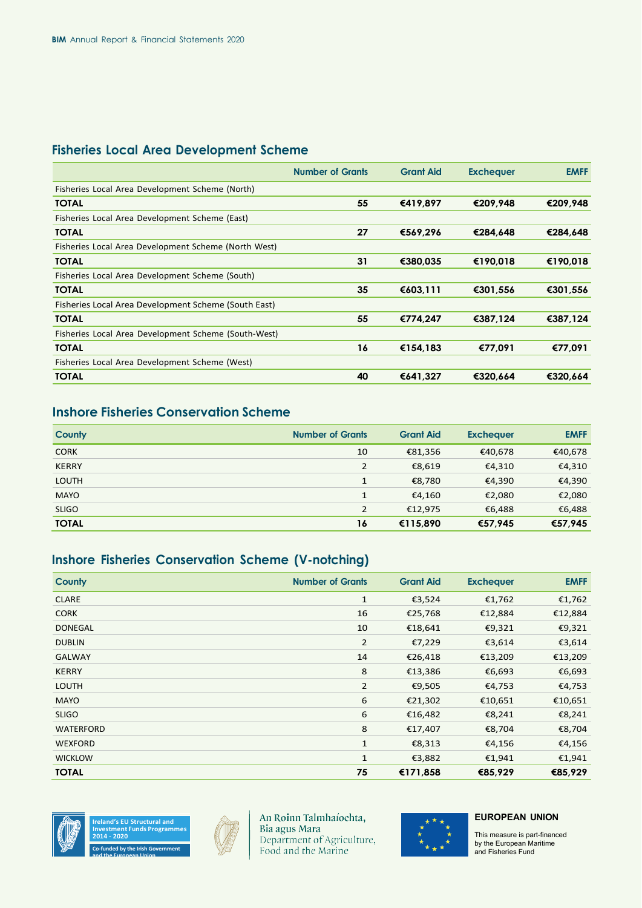# **Fisheries Local Area Development Scheme**

|                                                      | <b>Number of Grants</b> | <b>Grant Aid</b> | <b>Exchequer</b> | <b>EMFF</b> |
|------------------------------------------------------|-------------------------|------------------|------------------|-------------|
| Fisheries Local Area Development Scheme (North)      |                         |                  |                  |             |
| <b>TOTAL</b>                                         | 55                      | €419.897         | €209.948         | €209.948    |
| Fisheries Local Area Development Scheme (East)       |                         |                  |                  |             |
| <b>TOTAL</b>                                         | 27                      | €569,296         | €284.648         | €284.648    |
| Fisheries Local Area Development Scheme (North West) |                         |                  |                  |             |
| <b>TOTAL</b>                                         | 31                      | €380.035         | €190.018         | €190,018    |
| Fisheries Local Area Development Scheme (South)      |                         |                  |                  |             |
| <b>TOTAL</b>                                         | 35                      | €603.111         | €301.556         | €301.556    |
| Fisheries Local Area Development Scheme (South East) |                         |                  |                  |             |
| <b>TOTAL</b>                                         | 55                      | €774.247         | €387,124         | €387,124    |
| Fisheries Local Area Development Scheme (South-West) |                         |                  |                  |             |
| <b>TOTAL</b>                                         | 16                      | €154.183         | €77.091          | €77,091     |
| Fisheries Local Area Development Scheme (West)       |                         |                  |                  |             |
| <b>TOTAL</b>                                         | 40                      | €641.327         | €320.664         | €320.664    |
|                                                      |                         |                  |                  |             |

## **Inshore Fisheries Conservation Scheme**

| <b>County</b> | <b>Number of Grants</b> | <b>Grant Aid</b> | <b>Exchequer</b> | <b>EMFF</b> |
|---------------|-------------------------|------------------|------------------|-------------|
| <b>CORK</b>   | 10                      | €81,356          | €40,678          | €40,678     |
| <b>KERRY</b>  | $\overline{2}$          | €8,619           | €4,310           | €4,310      |
| <b>LOUTH</b>  | $\mathbf{1}$            | €8,780           | €4,390           | €4,390      |
| <b>MAYO</b>   | $\mathbf{1}$            | €4,160           | €2,080           | €2,080      |
| <b>SLIGO</b>  | $\overline{2}$          | €12,975          | €6,488           | €6,488      |
| <b>TOTAL</b>  | 16                      | €115.890         | €57.945          | €57,945     |

## **Inshore Fisheries Conservation Scheme (V-notching)**

| <b>County</b>    | <b>Number of Grants</b> | <b>Grant Aid</b> | <b>Exchequer</b> | <b>EMFF</b> |
|------------------|-------------------------|------------------|------------------|-------------|
| <b>CLARE</b>     | $\mathbf{1}$            | €3,524           | €1,762           | €1,762      |
| <b>CORK</b>      | 16                      | €25,768          | €12,884          | €12,884     |
| <b>DONEGAL</b>   | 10                      | €18,641          | €9,321           | €9,321      |
| <b>DUBLIN</b>    | $\overline{2}$          | €7,229           | €3,614           | €3,614      |
| <b>GALWAY</b>    | 14                      | €26,418          | €13,209          | €13,209     |
| <b>KERRY</b>     | 8                       | €13,386          | €6,693           | €6,693      |
| <b>LOUTH</b>     | 2                       | €9,505           | €4,753           | €4,753      |
| <b>MAYO</b>      | 6                       | €21,302          | €10,651          | €10,651     |
| <b>SLIGO</b>     | 6                       | €16,482          | €8,241           | €8,241      |
| <b>WATERFORD</b> | 8                       | €17,407          | €8,704           | €8,704      |
| <b>WEXFORD</b>   | $\mathbf{1}$            | €8,313           | €4,156           | €4,156      |
| <b>WICKLOW</b>   | 1                       | €3,882           | €1,941           | €1,941      |
| <b>TOTAL</b>     | 75                      | €171,858         | €85,929          | €85,929     |







An Roinn Talmhaíochta, Bia agus Mara Department of Agriculture, Food and the Marine



#### **EUROPEAN UNION**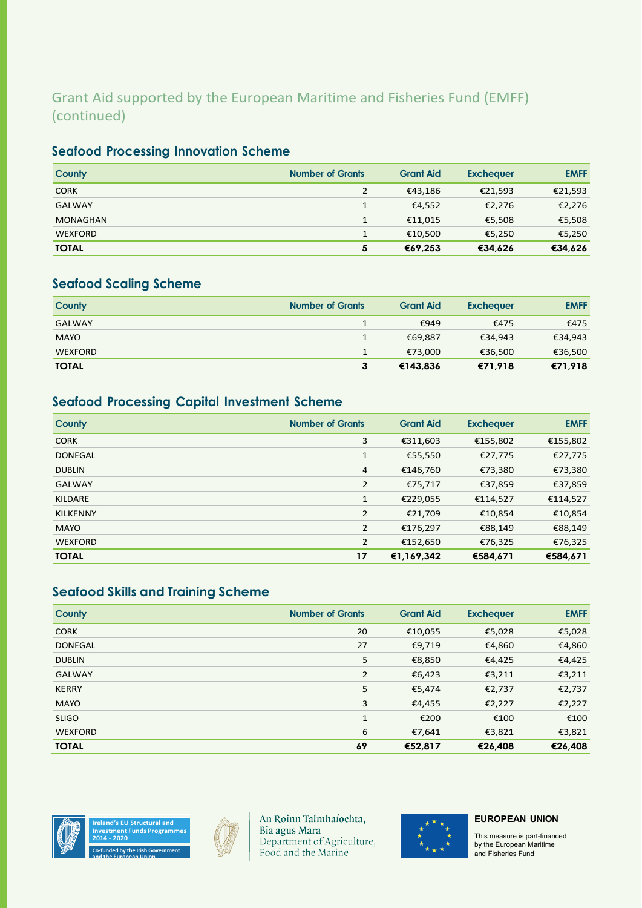# Grant Aid supported by the European Maritime and Fisheries Fund (EMFF) (continued)

## **Seafood Processing Innovation Scheme**

| County          | <b>Number of Grants</b> | <b>Grant Aid</b> | <b>Exchequer</b> | <b>EMFF</b> |
|-----------------|-------------------------|------------------|------------------|-------------|
| <b>CORK</b>     | 2                       | €43,186          | €21,593          | €21,593     |
| <b>GALWAY</b>   |                         | €4,552           | €2,276           | €2,276      |
| <b>MONAGHAN</b> |                         | €11.015          | €5,508           | €5,508      |
| <b>WEXFORD</b>  |                         | €10,500          | €5,250           | €5,250      |
| <b>TOTAL</b>    | 5                       | €69.253          | €34,626          | €34,626     |

## **Seafood Scaling Scheme**

| County         | <b>Number of Grants</b> | <b>Grant Aid</b> | <b>Exchequer</b> | <b>EMFF</b> |
|----------------|-------------------------|------------------|------------------|-------------|
| <b>GALWAY</b>  |                         | €949             | €475             | €475        |
| <b>MAYO</b>    |                         | €69.887          | €34,943          | €34,943     |
| <b>WEXFORD</b> |                         | €73.000          | €36,500          | €36,500     |
| <b>TOTAL</b>   | 3                       | €143.836         | €71.918          | €71,918     |

# **Seafood Processing Capital Investment Scheme**

| <b>County</b>   | <b>Number of Grants</b> | <b>Grant Aid</b> | <b>Exchequer</b> | <b>EMFF</b> |
|-----------------|-------------------------|------------------|------------------|-------------|
| <b>CORK</b>     | 3                       | €311,603         | €155,802         | €155,802    |
| <b>DONEGAL</b>  | $\mathbf{1}$            | €55,550          | €27,775          | €27,775     |
| <b>DUBLIN</b>   | 4                       | €146,760         | €73,380          | €73,380     |
| <b>GALWAY</b>   | $\overline{2}$          | €75,717          | €37,859          | €37,859     |
| KILDARE         | $\mathbf{1}$            | €229,055         | €114,527         | €114,527    |
| <b>KILKENNY</b> | $\overline{2}$          | €21,709          | €10,854          | €10,854     |
| <b>MAYO</b>     | $\overline{2}$          | €176,297         | €88,149          | €88,149     |
| <b>WEXFORD</b>  | $\overline{2}$          | €152,650         | €76,325          | €76,325     |
| <b>TOTAL</b>    | 17                      | €1,169,342       | €584,671         | €584,671    |

## **Seafood Skills and Training Scheme**

| County         | <b>Number of Grants</b> | <b>Grant Aid</b> | <b>Exchequer</b> | <b>EMFF</b> |
|----------------|-------------------------|------------------|------------------|-------------|
| <b>CORK</b>    | 20                      | €10,055          | €5,028           | €5,028      |
| <b>DONEGAL</b> | 27                      | €9,719           | €4,860           | €4,860      |
| <b>DUBLIN</b>  | 5                       | €8,850           | €4,425           | €4,425      |
| <b>GALWAY</b>  | 2                       | €6,423           | €3,211           | €3,211      |
| <b>KERRY</b>   | 5                       | €5,474           | €2,737           | €2,737      |
| <b>MAYO</b>    | 3                       | €4,455           | €2,227           | €2,227      |
| <b>SLIGO</b>   | $\mathbf{1}$            | €200             | €100             | €100        |
| <b>WEXFORD</b> | 6                       | €7,641           | €3,821           | €3,821      |
| <b>TOTAL</b>   | 69                      | €52,817          | €26,408          | €26,408     |



**and the European Union**



An Roinn Talmhaíochta, Bia agus Mara<br>Department of Agriculture, Food and the Marine



#### **EUROPEAN UNION**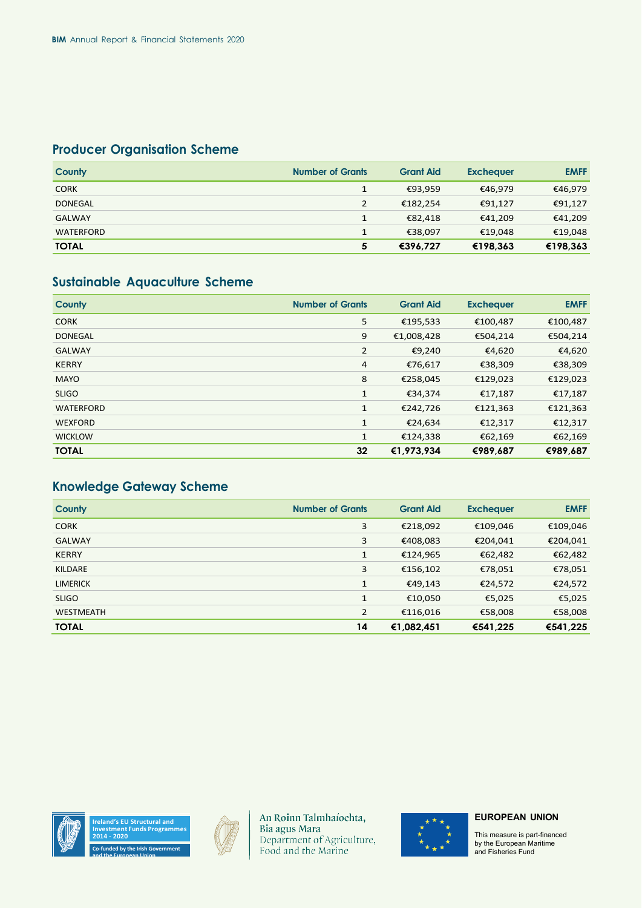# **Producer Organisation Scheme**

| <b>County</b>    | <b>Number of Grants</b> | <b>Grant Aid</b> | <b>Exchequer</b> | <b>EMFF</b> |
|------------------|-------------------------|------------------|------------------|-------------|
| <b>CORK</b>      | 1                       | €93,959          | €46,979          | €46,979     |
| <b>DONEGAL</b>   | $\overline{2}$          | €182.254         | €91,127          | €91,127     |
| <b>GALWAY</b>    | 1                       | €82.418          | €41,209          | €41,209     |
| <b>WATERFORD</b> | 1                       | €38.097          | €19,048          | €19,048     |
| <b>TOTAL</b>     | 5                       | €396.727         | €198,363         | €198,363    |

# **Sustainable Aquaculture Scheme**

| County           | <b>Number of Grants</b> | <b>Grant Aid</b> | <b>Exchequer</b> | <b>EMFF</b> |
|------------------|-------------------------|------------------|------------------|-------------|
| <b>CORK</b>      | 5                       | €195,533         | €100,487         | €100,487    |
| <b>DONEGAL</b>   | 9                       | €1,008,428       | €504,214         | €504,214    |
| <b>GALWAY</b>    | $\overline{2}$          | €9,240           | €4,620           | €4,620      |
| <b>KERRY</b>     | $\overline{4}$          | €76,617          | €38,309          | €38,309     |
| <b>MAYO</b>      | 8                       | €258,045         | €129,023         | €129,023    |
| <b>SLIGO</b>     | 1                       | €34,374          | €17,187          | €17,187     |
| <b>WATERFORD</b> | $\mathbf{1}$            | €242,726         | €121,363         | €121,363    |
| <b>WEXFORD</b>   | 1                       | €24,634          | €12,317          | €12,317     |
| <b>WICKLOW</b>   | $\mathbf{1}$            | €124,338         | €62,169          | €62,169     |
| <b>TOTAL</b>     | 32                      | €1,973,934       | €989,687         | €989,687    |

# **Knowledge Gateway Scheme**

| <b>County</b>    | <b>Number of Grants</b> | <b>Grant Aid</b> | <b>Exchequer</b> | <b>EMFF</b> |
|------------------|-------------------------|------------------|------------------|-------------|
| <b>CORK</b>      | 3                       | €218,092         | €109,046         | €109,046    |
| <b>GALWAY</b>    | 3                       | €408,083         | €204,041         | €204,041    |
| <b>KERRY</b>     | $\mathbf{1}$            | €124,965         | €62,482          | €62,482     |
| <b>KILDARE</b>   | 3                       | €156,102         | €78,051          | €78,051     |
| <b>LIMERICK</b>  | $\mathbf{1}$            | €49,143          | €24,572          | €24,572     |
| <b>SLIGO</b>     | $\mathbf{1}$            | €10,050          | €5,025           | €5,025      |
| <b>WESTMEATH</b> | $\overline{2}$          | €116,016         | €58,008          | €58,008     |
| <b>TOTAL</b>     | 14                      | €1,082,451       | €541.225         | €541,225    |





**and the European Union**



An Roinn Talmhaíochta,<br>Bia agus Mara Department of Agriculture,<br>Food and the Marine



#### **EUROPEAN UNION**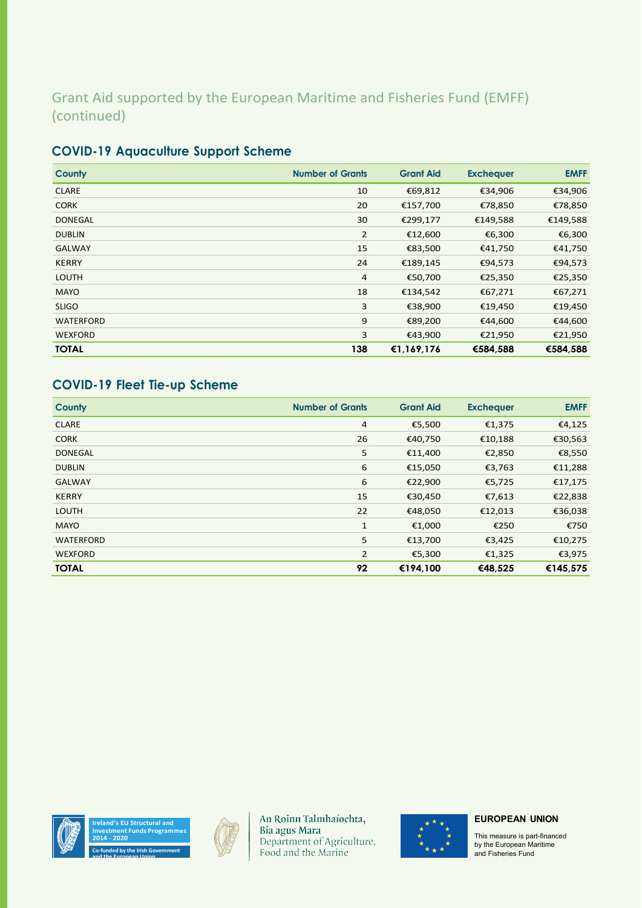# Grant Aid supported by the European Maritime and Fisheries Fund (EMFF) (continued)

| County         | <b>Number of Grants</b> | <b>Grant Aid</b> | <b>Exchequer</b> | <b>EMFF</b> |
|----------------|-------------------------|------------------|------------------|-------------|
| <b>CLARE</b>   | 10                      | €69,812          | €34,906          | €34,906     |
| <b>CORK</b>    | 20                      | €157,700         | €78,850          | €78,850     |
| <b>DONEGAL</b> | 30                      | €299,177         | €149,588         | €149,588    |
| <b>DUBLIN</b>  | $\overline{2}$          | €12,600          | €6,300           | €6,300      |
| <b>GALWAY</b>  | 15                      | €83,500          | €41,750          | €41,750     |
| <b>KERRY</b>   | 24                      | €189,145         | €94,573          | €94,573     |
| <b>LOUTH</b>   | 4                       | €50,700          | €25,350          | €25,350     |
| <b>MAYO</b>    | 18                      | €134,542         | €67,271          | €67,271     |
| <b>SLIGO</b>   | 3                       | €38,900          | €19,450          | €19,450     |
| WATERFORD      | 9                       | €89,200          | €44,600          | €44,600     |
| <b>WEXFORD</b> | 3                       | €43,900          | €21,950          | €21,950     |
| <b>TOTAL</b>   | 138                     | €1,169,176       | €584.588         | €584.588    |

# **COVID-19 Aquaculture Support Scheme**

# **COVID-19 Fleet Tie-up Scheme**

| <b>County</b>    | <b>Number of Grants</b> | <b>Grant Aid</b> | <b>Exchequer</b> | <b>EMFF</b> |
|------------------|-------------------------|------------------|------------------|-------------|
| <b>CLARE</b>     | $\overline{4}$          | €5,500           | €1,375           | €4,125      |
| <b>CORK</b>      | 26                      | €40,750          | €10,188          | €30,563     |
| <b>DONEGAL</b>   | 5                       | €11,400          | €2,850           | €8,550      |
| <b>DUBLIN</b>    | 6                       | €15,050          | €3,763           | €11,288     |
| <b>GALWAY</b>    | 6                       | €22,900          | €5,725           | €17,175     |
| <b>KERRY</b>     | 15                      | €30,450          | €7,613           | €22,838     |
| <b>LOUTH</b>     | 22                      | €48,050          | €12,013          | €36,038     |
| <b>MAYO</b>      | 1                       | €1,000           | €250             | €750        |
| <b>WATERFORD</b> | 5                       | €13,700          | €3,425           | €10,275     |
| <b>WEXFORD</b>   | $\overline{2}$          | €5,300           | €1,325           | €3,975      |
| <b>TOTAL</b>     | 92                      | €194,100         | €48,525          | €145,575    |



**and the European Union**



An Roinn Talmhaíochta, Bia agus Mara<br>Department of Agriculture,<br>Food and the Marine



#### **EUROPEAN UNION**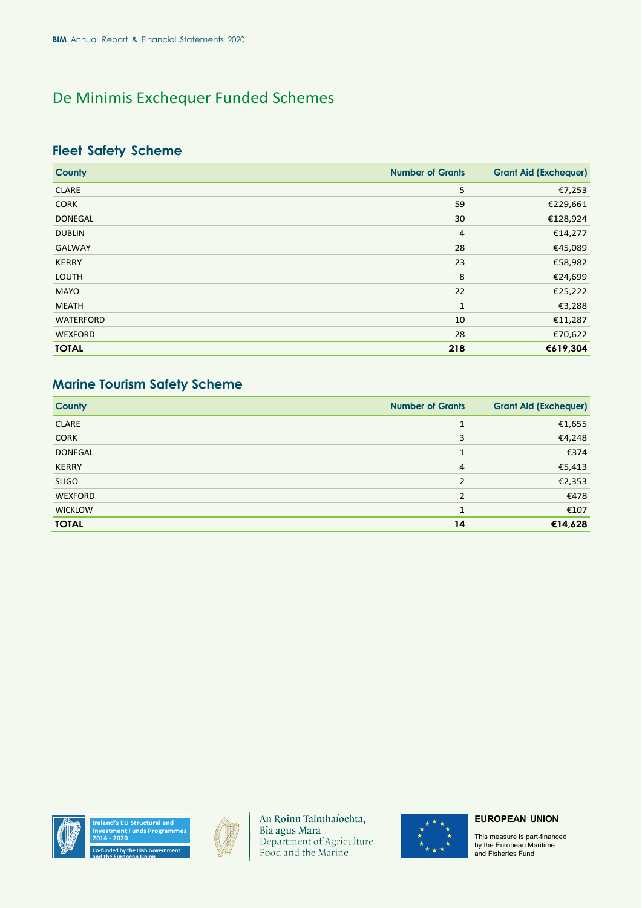# De Minimis Exchequer Funded Schemes

## **Fleet Safety Scheme**

| <b>County</b>  | <b>Number of Grants</b> | <b>Grant Aid (Exchequer)</b> |
|----------------|-------------------------|------------------------------|
| <b>CLARE</b>   | 5                       | €7,253                       |
| <b>CORK</b>    | 59                      | €229,661                     |
| <b>DONEGAL</b> | 30                      | €128,924                     |
| <b>DUBLIN</b>  | 4                       | €14,277                      |
| <b>GALWAY</b>  | 28                      | €45,089                      |
| <b>KERRY</b>   | 23                      | €58,982                      |
| <b>LOUTH</b>   | 8                       | €24,699                      |
| <b>MAYO</b>    | 22                      | €25,222                      |
| <b>MEATH</b>   | 1                       | €3,288                       |
| WATERFORD      | 10                      | €11,287                      |
| <b>WEXFORD</b> | 28                      | €70,622                      |
| <b>TOTAL</b>   | 218                     | €619,304                     |

## **Marine Tourism Safety Scheme**

| County         | <b>Number of Grants</b> | <b>Grant Aid (Exchequer)</b> |
|----------------|-------------------------|------------------------------|
| <b>CLARE</b>   | $\mathbf{1}$            | €1,655                       |
| <b>CORK</b>    | 3                       | €4,248                       |
| <b>DONEGAL</b> | 1                       | €374                         |
| <b>KERRY</b>   | $\overline{4}$          | €5,413                       |
| <b>SLIGO</b>   | 2                       | €2,353                       |
| <b>WEXFORD</b> | $\mathcal{P}$           | €478                         |
| <b>WICKLOW</b> | $\mathbf{1}$            | €107                         |
| <b>TOTAL</b>   | 14                      | €14,628                      |



**and the European Union**



An Roinn Talmhaíochta, Bia agus Mara Department of Agriculture, Food and the Marine



#### **EUROPEAN UNION**